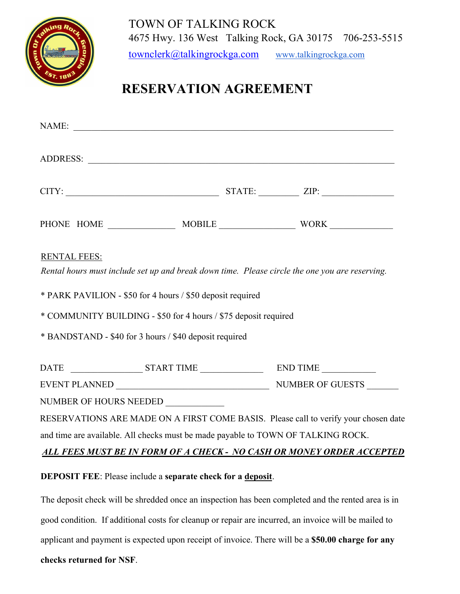

## **RESERVATION AGREEMENT**

| NAME:                                                                                                                 |  |                                                                                     |
|-----------------------------------------------------------------------------------------------------------------------|--|-------------------------------------------------------------------------------------|
|                                                                                                                       |  |                                                                                     |
| $CITY:$ $ZIP:$                                                                                                        |  |                                                                                     |
|                                                                                                                       |  |                                                                                     |
| <b>RENTAL FEES:</b><br>Rental hours must include set up and break down time. Please circle the one you are reserving. |  |                                                                                     |
| * PARK PAVILION - \$50 for 4 hours / \$50 deposit required                                                            |  |                                                                                     |
| * COMMUNITY BUILDING - \$50 for 4 hours / \$75 deposit required                                                       |  |                                                                                     |
| * BANDSTAND - \$40 for 3 hours / \$40 deposit required                                                                |  |                                                                                     |
|                                                                                                                       |  |                                                                                     |
|                                                                                                                       |  |                                                                                     |
| NUMBER OF HOURS NEEDED                                                                                                |  |                                                                                     |
|                                                                                                                       |  | RESERVATIONS ARE MADE ON A FIRST COME BASIS. Please call to verify your chosen date |
| and time are available. All checks must be made payable to TOWN OF TALKING ROCK.                                      |  |                                                                                     |
| ALL FEES MUST BE IN FORM OF A CHECK - NO CASH OR MONEY ORDER ACCEPTED                                                 |  |                                                                                     |
| <b>DEPOSIT FEE:</b> Please include a separate check for a deposit.                                                    |  |                                                                                     |

The deposit check will be shredded once an inspection has been completed and the rented area is in good condition. If additional costs for cleanup or repair are incurred, an invoice will be mailed to applicant and payment is expected upon receipt of invoice. There will be a **\$50.00 charge for any checks returned for NSF**.